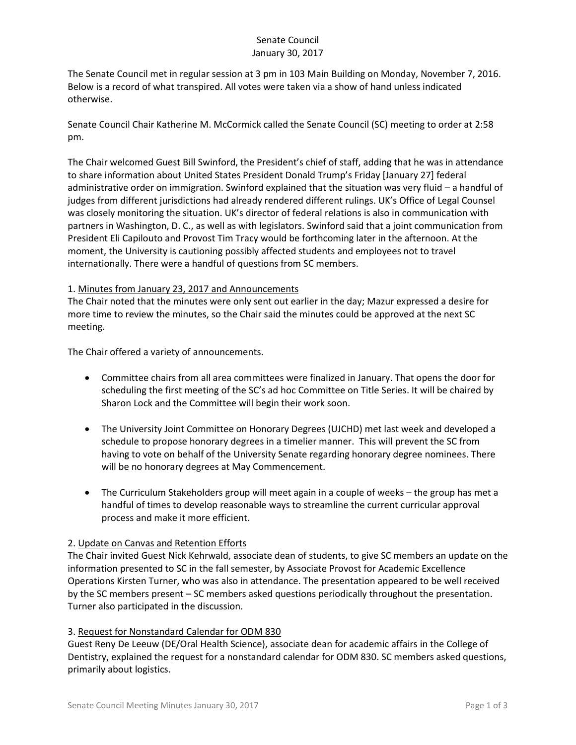## Senate Council January 30, 2017

The Senate Council met in regular session at 3 pm in 103 Main Building on Monday, November 7, 2016. Below is a record of what transpired. All votes were taken via a show of hand unless indicated otherwise.

Senate Council Chair Katherine M. McCormick called the Senate Council (SC) meeting to order at 2:58 pm.

The Chair welcomed Guest Bill Swinford, the President's chief of staff, adding that he was in attendance to share information about United States President Donald Trump's Friday [January 27] federal administrative order on immigration. Swinford explained that the situation was very fluid – a handful of judges from different jurisdictions had already rendered different rulings. UK's Office of Legal Counsel was closely monitoring the situation. UK's director of federal relations is also in communication with partners in Washington, D. C., as well as with legislators. Swinford said that a joint communication from President Eli Capilouto and Provost Tim Tracy would be forthcoming later in the afternoon. At the moment, the University is cautioning possibly affected students and employees not to travel internationally. There were a handful of questions from SC members.

### 1. Minutes from January 23, 2017 and Announcements

The Chair noted that the minutes were only sent out earlier in the day; Mazur expressed a desire for more time to review the minutes, so the Chair said the minutes could be approved at the next SC meeting.

The Chair offered a variety of announcements.

- Committee chairs from all area committees were finalized in January. That opens the door for scheduling the first meeting of the SC's ad hoc Committee on Title Series. It will be chaired by Sharon Lock and the Committee will begin their work soon.
- The University Joint Committee on Honorary Degrees (UJCHD) met last week and developed a schedule to propose honorary degrees in a timelier manner. This will prevent the SC from having to vote on behalf of the University Senate regarding honorary degree nominees. There will be no honorary degrees at May Commencement.
- The Curriculum Stakeholders group will meet again in a couple of weeks the group has met a handful of times to develop reasonable ways to streamline the current curricular approval process and make it more efficient.

# 2. Update on Canvas and Retention Efforts

The Chair invited Guest Nick Kehrwald, associate dean of students, to give SC members an update on the information presented to SC in the fall semester, by Associate Provost for Academic Excellence Operations Kirsten Turner, who was also in attendance. The presentation appeared to be well received by the SC members present – SC members asked questions periodically throughout the presentation. Turner also participated in the discussion.

# 3. Request for Nonstandard Calendar for ODM 830

Guest Reny De Leeuw (DE/Oral Health Science), associate dean for academic affairs in the College of Dentistry, explained the request for a nonstandard calendar for ODM 830. SC members asked questions, primarily about logistics.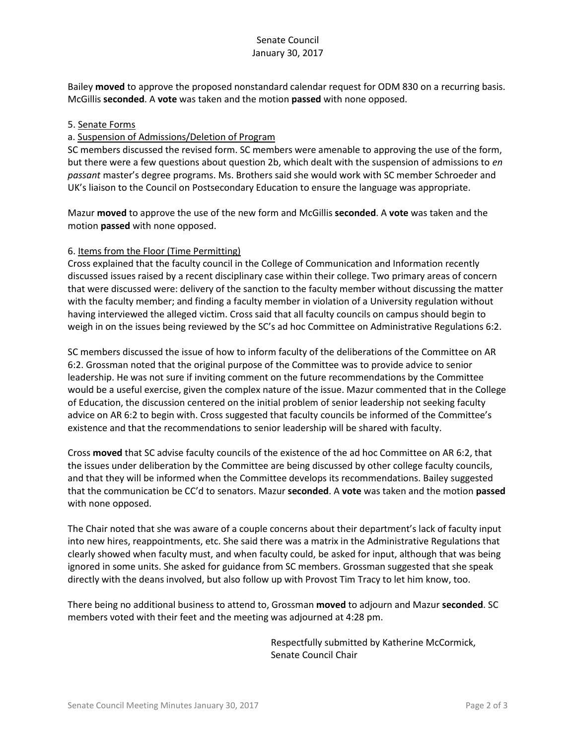## Senate Council January 30, 2017

Bailey **moved** to approve the proposed nonstandard calendar request for ODM 830 on a recurring basis. McGillis **seconded**. A **vote** was taken and the motion **passed** with none opposed.

#### 5. Senate Forms

#### a. Suspension of Admissions/Deletion of Program

SC members discussed the revised form. SC members were amenable to approving the use of the form, but there were a few questions about question 2b, which dealt with the suspension of admissions to *en passant* master's degree programs. Ms. Brothers said she would work with SC member Schroeder and UK's liaison to the Council on Postsecondary Education to ensure the language was appropriate.

Mazur **moved** to approve the use of the new form and McGillis **seconded**. A **vote** was taken and the motion **passed** with none opposed.

#### 6. Items from the Floor (Time Permitting)

Cross explained that the faculty council in the College of Communication and Information recently discussed issues raised by a recent disciplinary case within their college. Two primary areas of concern that were discussed were: delivery of the sanction to the faculty member without discussing the matter with the faculty member; and finding a faculty member in violation of a University regulation without having interviewed the alleged victim. Cross said that all faculty councils on campus should begin to weigh in on the issues being reviewed by the SC's ad hoc Committee on Administrative Regulations 6:2.

SC members discussed the issue of how to inform faculty of the deliberations of the Committee on AR 6:2. Grossman noted that the original purpose of the Committee was to provide advice to senior leadership. He was not sure if inviting comment on the future recommendations by the Committee would be a useful exercise, given the complex nature of the issue. Mazur commented that in the College of Education, the discussion centered on the initial problem of senior leadership not seeking faculty advice on AR 6:2 to begin with. Cross suggested that faculty councils be informed of the Committee's existence and that the recommendations to senior leadership will be shared with faculty.

Cross **moved** that SC advise faculty councils of the existence of the ad hoc Committee on AR 6:2, that the issues under deliberation by the Committee are being discussed by other college faculty councils, and that they will be informed when the Committee develops its recommendations. Bailey suggested that the communication be CC'd to senators. Mazur **seconded**. A **vote** was taken and the motion **passed** with none opposed.

The Chair noted that she was aware of a couple concerns about their department's lack of faculty input into new hires, reappointments, etc. She said there was a matrix in the Administrative Regulations that clearly showed when faculty must, and when faculty could, be asked for input, although that was being ignored in some units. She asked for guidance from SC members. Grossman suggested that she speak directly with the deans involved, but also follow up with Provost Tim Tracy to let him know, too.

There being no additional business to attend to, Grossman **moved** to adjourn and Mazur **seconded**. SC members voted with their feet and the meeting was adjourned at 4:28 pm.

> Respectfully submitted by Katherine McCormick, Senate Council Chair